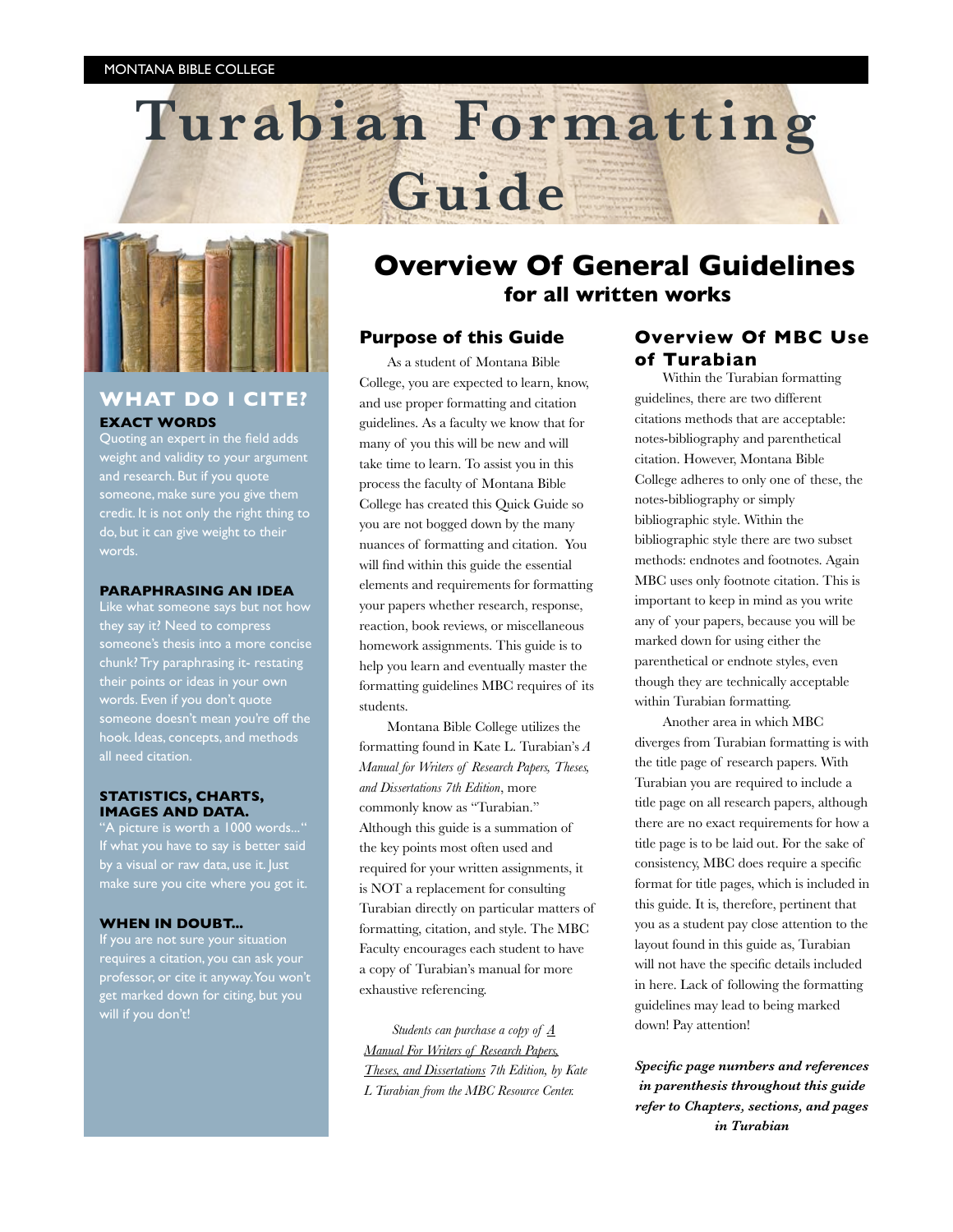



## **WHAT DO I CITE? EXACT WORDS**

Quoting an expert in the field adds weight and validity to your argument someone, make sure you give them credit. It is not only the right thing to do, but it can give weight to their

#### **PARAPHRASING AN IDEA**

they say it? Need to compress someone's thesis into a more concise chunk? Try paraphrasing it- restating words. Even if you don't quote someone doesn't mean you're off the hook. Ideas, concepts, and methods

#### **STATISTICS, CHARTS, IMAGES AND DATA.**

'A picture is worth a 1000 words..." by a visual or raw data, use it. Just make sure you cite where you got it.

### **WHEN IN DOUBT...**

If you are not sure your situation requires a citation, you can ask your professor, or cite it anyway. You won't get marked down for citing, but you will if you don't!

## **Overview Of General Guidelines for all written works**

## **Purpose of this Guide**

As a student of Montana Bible College, you are expected to learn, know, and use proper formatting and citation guidelines. As a faculty we know that for many of you this will be new and will take time to learn. To assist you in this process the faculty of Montana Bible College has created this Quick Guide so you are not bogged down by the many nuances of formatting and citation. You will find within this guide the essential elements and requirements for formatting your papers whether research, response, reaction, book reviews, or miscellaneous homework assignments. This guide is to help you learn and eventually master the formatting guidelines MBC requires of its students.

Montana Bible College utilizes the formatting found in Kate L. Turabian's *A Manual for Writers of Research Papers, Theses, and Dissertations 7th Edition*, more commonly know as "Turabian." Although this guide is a summation of the key points most often used and required for your written assignments, it is NOT a replacement for consulting Turabian directly on particular matters of formatting, citation, and style. The MBC Faculty encourages each student to have a copy of Turabian's manual for more exhaustive referencing.

*Students can purchase a copy of A Manual For Writers of Research Papers, Theses, and Dissertations 7th Edition, by Kate L Turabian from the MBC Resource Center.*

## **Overview Of MBC Use of Turabian**

Within the Turabian formatting guidelines, there are two different citations methods that are acceptable: notes-bibliography and parenthetical citation. However, Montana Bible College adheres to only one of these, the notes-bibliography or simply bibliographic style. Within the bibliographic style there are two subset methods: endnotes and footnotes. Again MBC uses only footnote citation. This is important to keep in mind as you write any of your papers, because you will be marked down for using either the parenthetical or endnote styles, even though they are technically acceptable within Turabian formatting.

Another area in which MBC diverges from Turabian formatting is with the title page of research papers. With Turabian you are required to include a title page on all research papers, although there are no exact requirements for how a title page is to be laid out. For the sake of consistency, MBC does require a specific format for title pages, which is included in this guide. It is, therefore, pertinent that you as a student pay close attention to the layout found in this guide as, Turabian will not have the specific details included in here. Lack of following the formatting guidelines may lead to being marked down! Pay attention!

*Specific page numbers and references in parenthesis throughout this guide refer to Chapters, sections, and pages in Turabian*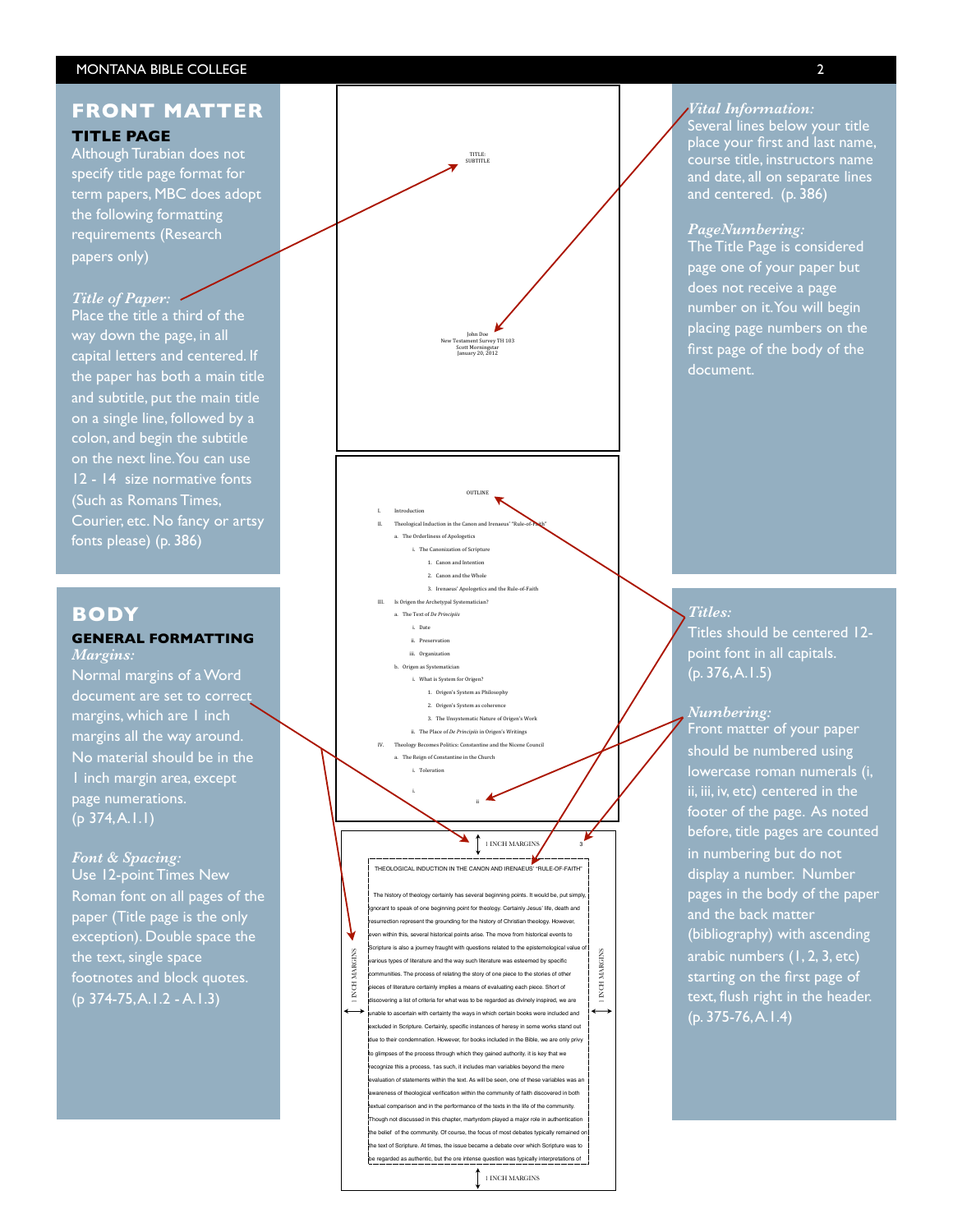## **FRONT MATTER TITLE PAGE**

Although Turabian does not specify title page format for term papers, MBC does adopt the following formatting requirements (Research papers only)

## *Title of Paper:*

Place the title a third of the way down the page, in all capital letters and centered. If the paper has both a main title and subtitle, put the main title on a single line, followed by a colon, and begin the subtitle on the next line. You can use 12 - 14 size normative fonts (Such as Romans Times, Courier, etc. No fancy or artsy fonts please) (p. 386)

## **BODY**

## **GENERAL FORMATTING** *Margins:*

Normal margins of a Word document are set to correct margins, which are 1 inch margins all the way around. No material should be in the 1 inch margin area, except page numerations.  $(p 374, A.1.1)$ 

#### *Font & Spacing:*

Use 12-point Times New Roman font on all pages of the paper (Title page is the only exception). Double space the the text, single space footnotes and block quotes. (p 374-75, A.1.2 - A.1.3)



THEOLOGICAL INDUCTION IN THE CANON AND IRENAEUS ' "RULE-OF-FAITH"

THEOLOGICAL INDUCTION IN THE CANON AND IRENAEUS<sup>5</sup> TRULE-OF-FAITH<sup>3</sup><br>The history of theology certainly has several beginning points. It would be, put simply<br>promant to speak of one beginning point for theology. Certainly J .<br>The history of theology certainly has several beginning points. It wo ignorant to speak of one beginning point for theology. Certainly Jesus ' life, death and resent the grounding for the history of Christian theology. However, en within this, several historical points arise. The move from historical events to .<br>Scripture is also a journey fraught with questions related to the epistemological value **INCH MARGINS** 1 INCH MARGINS ious types of literature and the way such literature was esteemed by specific es. The process of relating the story of one piece to the stories of other ces of literature certainly implies a means of evaluating each piece. Short of discovering a list of criteria for what was to be regarded as divinely inspired, we are ain with certainty the ways in which certain books were included and excluded in Scripture. Certainly, specific instances of heresy in some works stand out tion. However, for books included in the Bible, we are only privy to glimpses of the process through which they gained authority. it is key that we recognize this a process, 1as such, it includes man variables beyond the mere ation of statements within the text. As will be seen, one of these variables was a ess of theological verification within the community of faith discovered in both tual comparison and in the performance of the texts in the life of the community. <sub>though</sub> not discussed in this chapter, martyrdom played a major role in authentication e belief of the community. Of course, the focus of most debates typically remained e text of Scripture. At times, the issue became a debate over which Scripture was to **1 INCH MARGINS** 

1 INCH MARGINS

#### *Vital Information:*

Several lines below your title place your first and last name, course title, instructors name and date, all on separate lines and centered. (p. 386)

*PageNumbering:* The Title Page is considered page one of your paper but does not receive a page number on it. You will begin placing page numbers on the first page of the body of the document.

### *Titles:*

Titles should be centered 12 point font in all capitals.  $(p. 376, A.1.5)$ 

## *Numbering:*

Front matter of your paper should be numbered using lowercase roman numerals (i, ii, iii, iv, etc) centered in the footer of the page. As noted before, title pages are counted in numbering but do not display a number. Number pages in the body of the paper and the back matter (bibliography) with ascending arabic numbers (1, 2, 3, etc) starting on the first page of text, flush right in the header. (p. 375-76, A.1.4)

2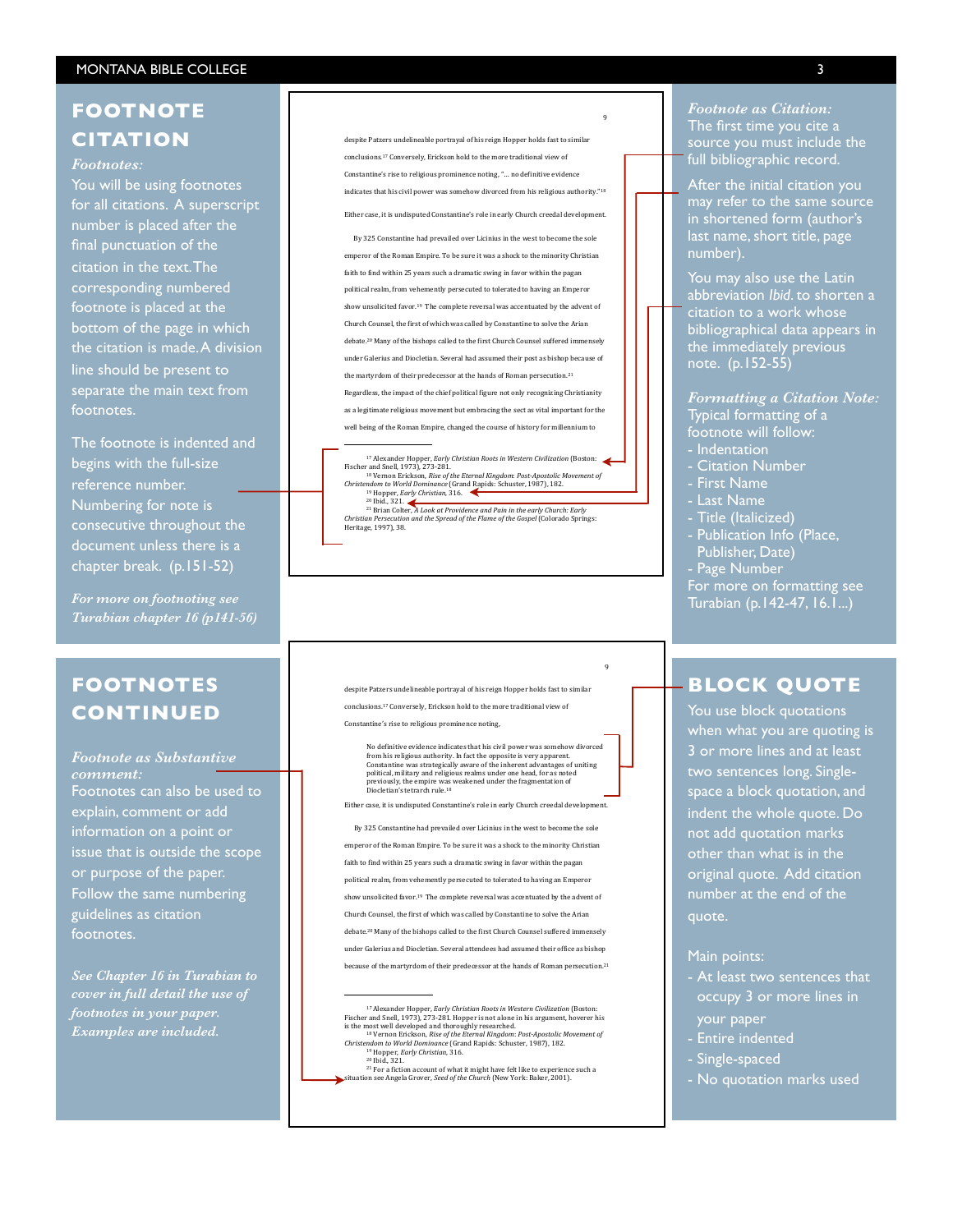## **FOOTNOTE CITATION**

## *Footnotes:*

You will be using footnotes for all citations. A superscript number is placed after the final punctuation of the citation in the text. The corresponding numbered footnote is placed at the bottom of the page in which the citation is made. A division line should be present to separate the main text from footnotes.

The footnote is indented and begins with the full-size reference number. Numbering for note is consecutive throughout the document unless there is a chapter break. (p.151-52)

*For more on footnoting see Turabian chapter 16 (p141-56)*

## **FOOTNOTES CONTINUED**

*Footnote as Substantive comment:* Footnotes can also be used to explain, comment or add information on a point or issue that is outside the scope or purpose of the paper. Follow the same numbering guidelines as citation footnotes.

*See Chapter 16 in Turabian to cover in full detail the use of footnotes in your paper. Examples are included.*

despite Patzers undelineable portrayal of his reign Hopper holds fast to similations. conclusions.<sup>17</sup> Conversely, Erickson hold to the more traditional view of Constantine's rise to religious prominence noting, "... no definitive evidence indicates that his civil nower was somehow divorced from his religious authority."<sup>18</sup> Either case, it is undisputed Constantine's role in early Church creedal development

By 325 Constantine had prevailed over Licinius in the west to become the sole emperor of the Roman Empire. To be sure it was a shock to the minority Christian faith to find within 25 years such a dramatic swing in favor within the pagan political realm, from vehemently persecuted to tolerated to having an Emperor show unsolicited favor.<sup>19</sup> The complete reversal was accentuated by the advent of Church Counsel, the first of which was called by Constantine to solve the Arian debate.<sup>20</sup> Many of the bishops called to the first Church Counsel suffered immensely under Galerius and Diocletian. Several had assumed their post as bishop because of the martyrdom of their predecessor at the hands of Roman persecution.<sup>21</sup> Regardless, the impact of the chief political figure not only recognizing Christianity as a legitimate religious movement but embracing the sect as vital important for the well being of the Roman Empire, changed the course of history for millennium to

<sup>17</sup> Alexander Hopper, *Early Christian Roots in Western Civilization* (Boston:<br>
Eischer and Snell, 1973), 273-281.<br>
<sup>18</sup> Vernon Erickson, *Rise of the Eternal Kingdom: Post-Apostolic Movement of*<br> *<sup>28</sup> Vernon Erickson,* Christian Persecution and the Spread of the Flame of the Gospel (Colorado Springs:<br>Heritage, 1997), 38.

despite Patzers undelineable portrayal of his reign Hopper holds fast to similar conclusions.<sup>17</sup> Conversely. Erickson hold to the more traditional view of

Constantine's rise to religious prominence noting,

!!!!!!!!!!!!!!!!!!!!!!!!!!!!!!!!!!!!!!!!!!!!!!!!!!!!!!!

!!!!!!!!!!!!!!!!!!!!!!!!!!!!!!!!!!!!!!!!!!!!!!!!!!!!!!!

No definitive evidence indicates that his civil power was somehow divorced<br>from his religious authority. In fact the opposite is very apparent.<br>Constantine was strategically aware of the inherent advantages of uniting<br>poli

<sup>Q</sup>

"

Either case, it is undisputed Constantine's role in early Church creedal developme

By 325 Constantine had prevailed over Licinius in the west to become the sole

emperor of the Roman Empire. To be sure it was a shock to the minority Christian

faith to find within 25 years such a dramatic swing in favor within the pagan

political realm, from vehemently persecuted to tolerated to having an Emperor

show unsolicited favor.<sup>19</sup> The complete reversal was accentuated by the advent of

Church Counsel, the first of which was called by Constantine to solve the Arian

debate.<sup>20</sup> Many of the bishops called to the first Church Counsel suffered imm under Galerius and Diocletian. Several attendees had assumed their office as bishop

because of the martyrdom of their predecessor at the hands of Roman persecution.<sup>21</sup>

*Footnote as Citation:* The first time you cite a source you must include the full bibliographic record.

After the initial citation you may refer to the same source in shortened form (author's last name, short title, page number).

You may also use the Latin abbreviation *Ibid*. to shorten a citation to a work whose bibliographical data appears in the immediately previous note. (p.152-55)

*Formatting a Citation Note:* Typical formatting of a footnote will follow:

- Indentation
- Citation Number
- First Name
- Last Name
- Title (Italicized)
- Publication Info (Place, Publisher, Date)
- Page Number

For more on formatting see Turabian (p.142-47, 16.1...)

## **BLOCK QUOTE**

You use block quotations when what you are quoting is 3 or more lines and at least two sentences long. Singlespace a block quotation, and indent the whole quote. Do not add quotation marks other than what is in the original quote. Add citation number at the end of the quote.

#### Main points:

- At least two sentences that occupy 3 or more lines in your paper
- Entire indented
- Single-spaced
- No quotation marks used

<sup>&</sup>lt;sup>17</sup> Alexander Hopper, *Early Christian Roots in Western Civilization* (Boston:<br>
Fischer and Snell, 1973), 273-281. Hopper is not alone in his argument, hoverer his<br>
is the most well developed and thoroughly researched.<br>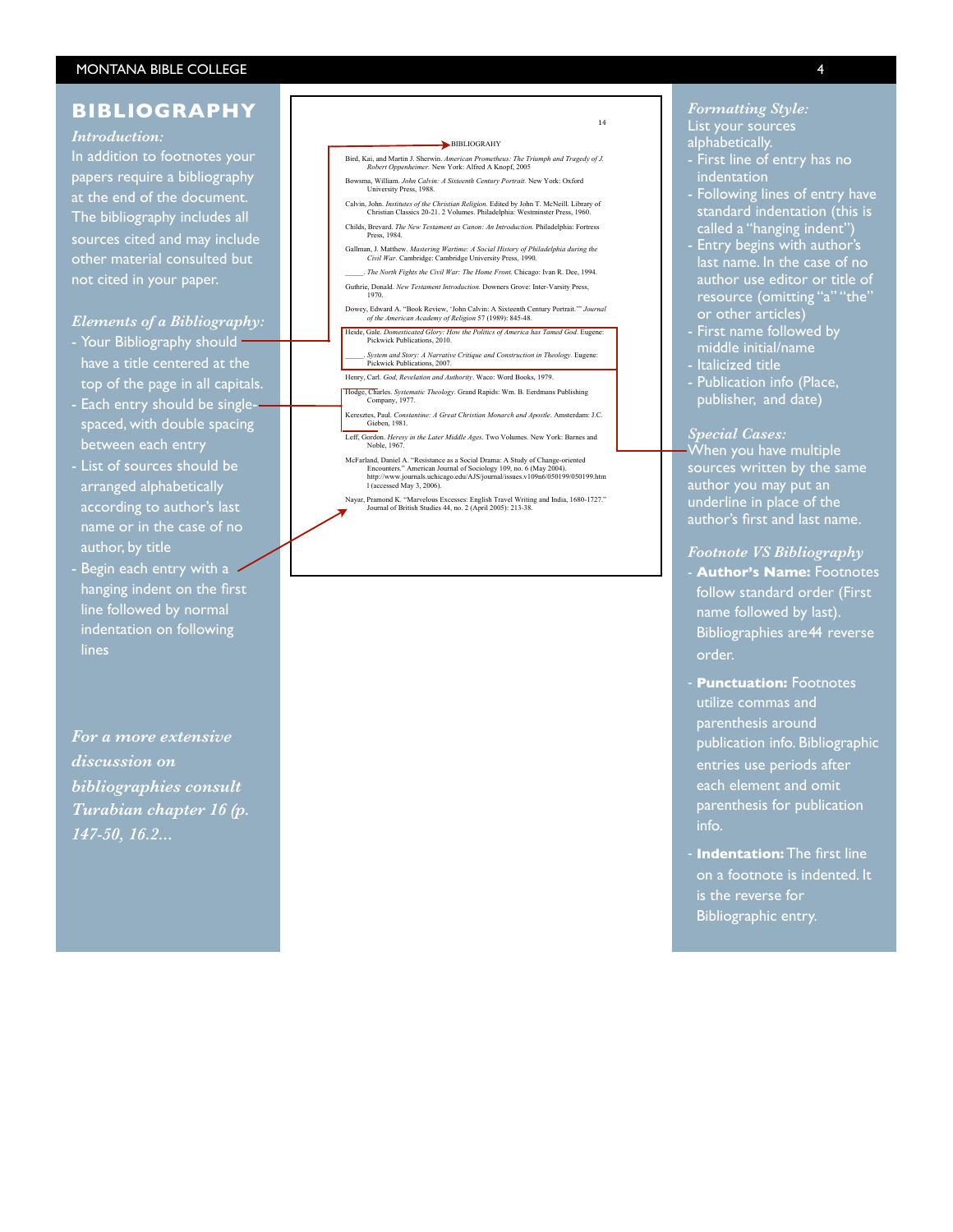## **BIBLIOGRAPHY**

### *Introduction:*

In addition to footnotes your papers require a bibliography at the end of the document. The bibliography includes all sources cited and may include other material consulted but not cited in your paper.

## *Elements of a Bibliography:*

- Your Bibliography should have a title centered at the top of the page in all capitals.
- Each entry should be singlespaced, with double spacing between each entry
- List of sources should be arranged alphabetically according to author's last name or in the case of no author, by title
- Begin each entry with a hanging indent on the first line followed by normal indentation on following lines

*For a more extensive discussion on bibliographies consult Turabian chapter 16 (p. 147-50, 16.2...*



 $14$ 

- Bird, Kai, and Martin J. Sherwin. *American Prometheus: The Triumph and Tragedy of J. Robert Oppenheimer.* New York: Alfred A Knopf, 2005
- Bowsma, William. *John Calvin: A Sixteenth Century Portrait.* New York: Oxford University Press, 1988.
- Calvin, John. *Institutes of the Christian Religion*. Edited by John T. McNeill. Library of Christian Classics 20-21. 2 Volumes. Philadelphia: Westminster Press, 1960. Childs, Brevard. *The New Testament as Canon: An Introduction.* Philadelphia: Fortress
- Press, 1984.
- Gallman, J. Matthew. *Mastering Wartime: A Social History of Philadelphia during the Civil War.* Cambridge: Cambridge University Press, 1990. \_\_\_\_\_. *The North Fights the Civil War: The Home Front.* Chicago: Ivan R. Dee, 1994.
- Guthrie, Donald. New Testament Introduction. Downers Grove: Inter-Varsity Press, 1970.
- Dowey, Edward A. "Book Review, 'John Calvin: A Sixteenth Century Portrait.'" *Journal of the American Academy of Religion* 57 (1989): 845 -48.
- Heide, Gale. *Domesticated Glory: How the Politics of America has Tamed God*. Eugene: Pickwick Publications, 2010.
- \_\_\_\_\_. *System and Story: A Narrative Critique and Construction in Theology.* Eugene: Pickwick Publications, 2007. Henry, Carl. *God, Revelation and Authority*. Waco: Word Books, 1979.
- Hodge, Charles. *Systematic Theology*. Grand Rapids: Wm. B. Eerdmans Publishing Company, 1977.
- Keresztes, Paul. *Constantine: A Great Christian Monarch and Apostle* . Amsterdam: J.C. Gieben, 1981.
- Leff, Gordon. *Heresy in the Later Middle Ages*. Two Volumes. New York: Barnes and Noble, 1967.
- McFarland, Daniel A. "Resistance as a Social Drama: A Study of Change-oriented<br>Encounters." American Journal of Sociology 109, no. 6 (May 2004).<br>http://www.journals.chicago.edu/AJS/journal/issues.v109n6/050199/050199.htm<br>1
- Nayar, Pramond K. "Marvelous Excesses: English Travel Writing and India, 1680-1727."<br>Unit also de British Studies 44, no. 2 (April 2005): 213-38.

## *Formatting Style:* List your sources alphabetically.

- First line of entry has no indentation
- Following lines of entry have standard indentation (this is called a "hanging indent")
- Entry begins with author's last name. In the case of no resource (omitting "a" "the" or other articles)
- First name followed by middle initial/name
- Italicized title
- Publication info (Place, publisher, and date)

#### *Special Cases:*

When you have multiple sources written by the same author you may put an underline in place of the author's first and last name.

## *Footnote VS Bibliography*

- **Author's Name:** Footnotes follow standard order (First name followed by last). Bibliographies are 44 reverse order.
- **Punctuation:** Footnotes utilize commas and parenthesis around publication info. Bibliographic entries use periods after each element and omit parenthesis for publication info.
- **Indentation:** The first line on a footnote is indented. It is the reverse for Bibliographic entry.

4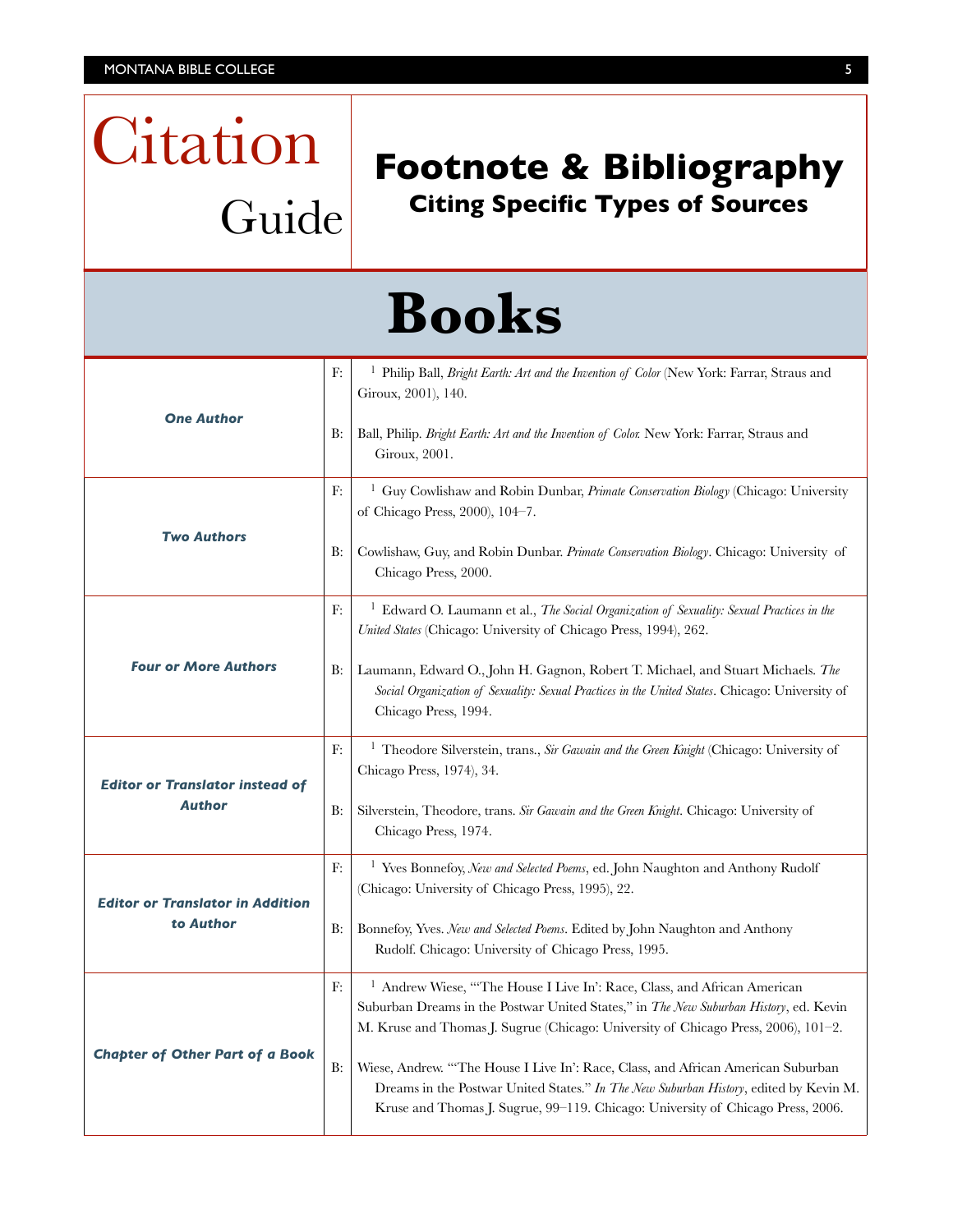Citation

Guide

## **Footnote & Bibliography Citing Specific Types of Sources**

|                                                         |           | <b>Books</b>                                                                                                                                                                                                                                                 |
|---------------------------------------------------------|-----------|--------------------------------------------------------------------------------------------------------------------------------------------------------------------------------------------------------------------------------------------------------------|
|                                                         | F:        | <sup>1</sup> Philip Ball, <i>Bright Earth: Art and the Invention of Color</i> (New York: Farrar, Straus and<br>Giroux, 2001), 140.                                                                                                                           |
| <b>One Author</b>                                       | B:        | Ball, Philip. Bright Earth: Art and the Invention of Color. New York: Farrar, Straus and<br>Giroux, 2001.                                                                                                                                                    |
| <b>Two Authors</b>                                      | F.        | <sup>1</sup> Guy Cowlishaw and Robin Dunbar, Primate Conservation Biology (Chicago: University<br>of Chicago Press, 2000), 104-7.                                                                                                                            |
|                                                         | B:        | Cowlishaw, Guy, and Robin Dunbar. Primate Conservation Biology. Chicago: University of<br>Chicago Press, 2000.                                                                                                                                               |
| <b>Four or More Authors</b>                             | F:        | <sup>1</sup> Edward O. Laumann et al., <i>The Social Organization of Sexuality: Sexual Practices in the</i><br>United States (Chicago: University of Chicago Press, 1994), 262.                                                                              |
|                                                         | B:        | Laumann, Edward O., John H. Gagnon, Robert T. Michael, and Stuart Michaels. The<br>Social Organization of Sexuality: Sexual Practices in the United States. Chicago: University of<br>Chicago Press, 1994.                                                   |
| <b>Editor or Translator instead of</b><br><b>Author</b> | F:        | <sup>1</sup> Theodore Silverstein, trans., Sir Gawain and the Green Knight (Chicago: University of<br>Chicago Press, 1974), 34.                                                                                                                              |
|                                                         | <b>B:</b> | Silverstein, Theodore, trans. Sir Gawain and the Green Knight. Chicago: University of<br>Chicago Press, 1974.                                                                                                                                                |
| <b>Editor or Translator in Addition</b><br>to Author    | F:        | <sup>1</sup> Yves Bonnefoy, New and Selected Poems, ed. John Naughton and Anthony Rudolf<br>(Chicago: University of Chicago Press, 1995), 22.                                                                                                                |
|                                                         | B:        | Bonnefoy, Yves. New and Selected Poems. Edited by John Naughton and Anthony<br>Rudolf. Chicago: University of Chicago Press, 1995.                                                                                                                           |
| <b>Chapter of Other Part of a Book</b>                  | F:        | Andrew Wiese, "The House I Live In': Race, Class, and African American<br>Suburban Dreams in the Postwar United States," in The New Suburban History, ed. Kevin<br>M. Kruse and Thomas J. Sugrue (Chicago: University of Chicago Press, 2006), 101-2.        |
|                                                         | B:        | Wiese, Andrew. "The House I Live In': Race, Class, and African American Suburban<br>Dreams in the Postwar United States." In The New Suburban History, edited by Kevin M.<br>Kruse and Thomas J. Sugrue, 99-119. Chicago: University of Chicago Press, 2006. |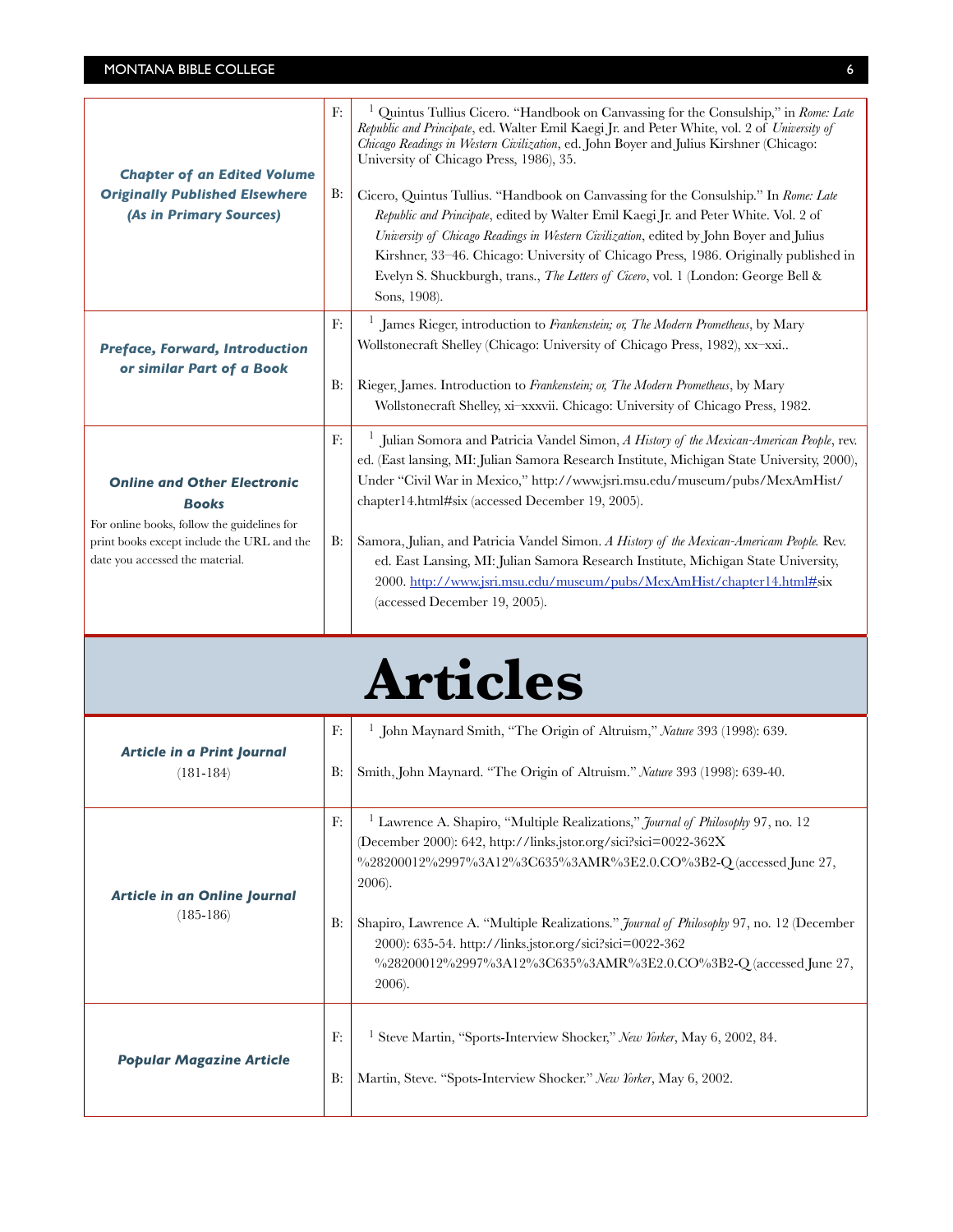| <b>Chapter of an Edited Volume</b><br><b>Originally Published Elsewhere</b><br>(As in Primary Sources)                                                                             | F.<br>B:         | Quintus Tullius Cicero. "Handbook on Canvassing for the Consulship," in Rome: Late<br>Republic and Principate, ed. Walter Emil Kaegi Jr. and Peter White, vol. 2 of University of<br>Chicago Readings in Western Civilization, ed. John Boyer and Julius Kirshner (Chicago:<br>University of Chicago Press, 1986), 35.<br>Cicero, Quintus Tullius. "Handbook on Canvassing for the Consulship." In Rome: Late<br>Republic and Principate, edited by Walter Emil Kaegi Jr. and Peter White. Vol. 2 of<br>University of Chicago Readings in Western Civilization, edited by John Boyer and Julius<br>Kirshner, 33-46. Chicago: University of Chicago Press, 1986. Originally published in<br>Evelyn S. Shuckburgh, trans., <i>The Letters of Cicero</i> , vol. 1 (London: George Bell &<br>Sons, 1908). |
|------------------------------------------------------------------------------------------------------------------------------------------------------------------------------------|------------------|-------------------------------------------------------------------------------------------------------------------------------------------------------------------------------------------------------------------------------------------------------------------------------------------------------------------------------------------------------------------------------------------------------------------------------------------------------------------------------------------------------------------------------------------------------------------------------------------------------------------------------------------------------------------------------------------------------------------------------------------------------------------------------------------------------|
| <b>Preface, Forward, Introduction</b><br>or similar Part of a Book                                                                                                                 | F:<br>B:         | James Rieger, introduction to Frankenstein; or, The Modern Prometheus, by Mary<br>Wollstonecraft Shelley (Chicago: University of Chicago Press, 1982), xx-xxi<br>Rieger, James. Introduction to Frankenstein; or, The Modern Prometheus, by Mary<br>Wollstonecraft Shelley, xi-xxxvii. Chicago: University of Chicago Press, 1982.                                                                                                                                                                                                                                                                                                                                                                                                                                                                    |
| <b>Online and Other Electronic</b><br><b>Books</b><br>For online books, follow the guidelines for<br>print books except include the URL and the<br>date you accessed the material. | F:<br><b>B</b> : | Julian Somora and Patricia Vandel Simon, A History of the Mexican-American People, rev.<br>ed. (East lansing, MI: Julian Samora Research Institute, Michigan State University, 2000),<br>Under "Civil War in Mexico," http://www.jsri.msu.edu/museum/pubs/MexAmHist/<br>chapter14.html#six (accessed December 19, 2005).<br>Samora, Julian, and Patricia Vandel Simon. A History of the Mexican-Americam People. Rev.<br>ed. East Lansing, MI: Julian Samora Research Institute, Michigan State University,<br>2000. http://www.jsri.msu.edu/museum/pubs/MexAmHist/chapter14.html#six<br>(accessed December 19, 2005).                                                                                                                                                                                |

# **Articles**

| <b>Article in a Print Journal</b><br>$(181 - 184)$ | F:<br>B: | John Maynard Smith, "The Origin of Altruism," Nature 393 (1998): 639.<br>Smith, John Maynard. "The Origin of Altruism." Nature 393 (1998): 639-40.                                                                                                                                                                                                                                                                                                                                            |
|----------------------------------------------------|----------|-----------------------------------------------------------------------------------------------------------------------------------------------------------------------------------------------------------------------------------------------------------------------------------------------------------------------------------------------------------------------------------------------------------------------------------------------------------------------------------------------|
| Article in an Online Journal<br>$(185 - 186)$      | F:<br>B: | <sup>1</sup> Lawrence A. Shapiro, "Multiple Realizations," <i>Journal of Philosophy</i> 97, no. 12<br>(December 2000): $642$ , http://links.jstor.org/sici?sici=0022-362X<br>%28200012%2997%3A12%3C635%3AMR%3E2.0.CO%3B2-O (accessed June 27,<br>2006).<br>Shapiro, Lawrence A. "Multiple Realizations." Journal of Philosophy 97, no. 12 (December<br>2000): 635-54. http://links.jstor.org/sici?sici=0022-362<br>%28200012%2997%3A12%3C635%3AMR%3E2.0.CO%3B2-Q (accessed June 27,<br>2006). |
| <b>Popular Magazine Article</b>                    | F:<br>B: | Steve Martin, "Sports-Interview Shocker," New Yorker, May 6, 2002, 84.<br>Martin, Steve. "Spots-Interview Shocker." New Yorker, May 6, 2002.                                                                                                                                                                                                                                                                                                                                                  |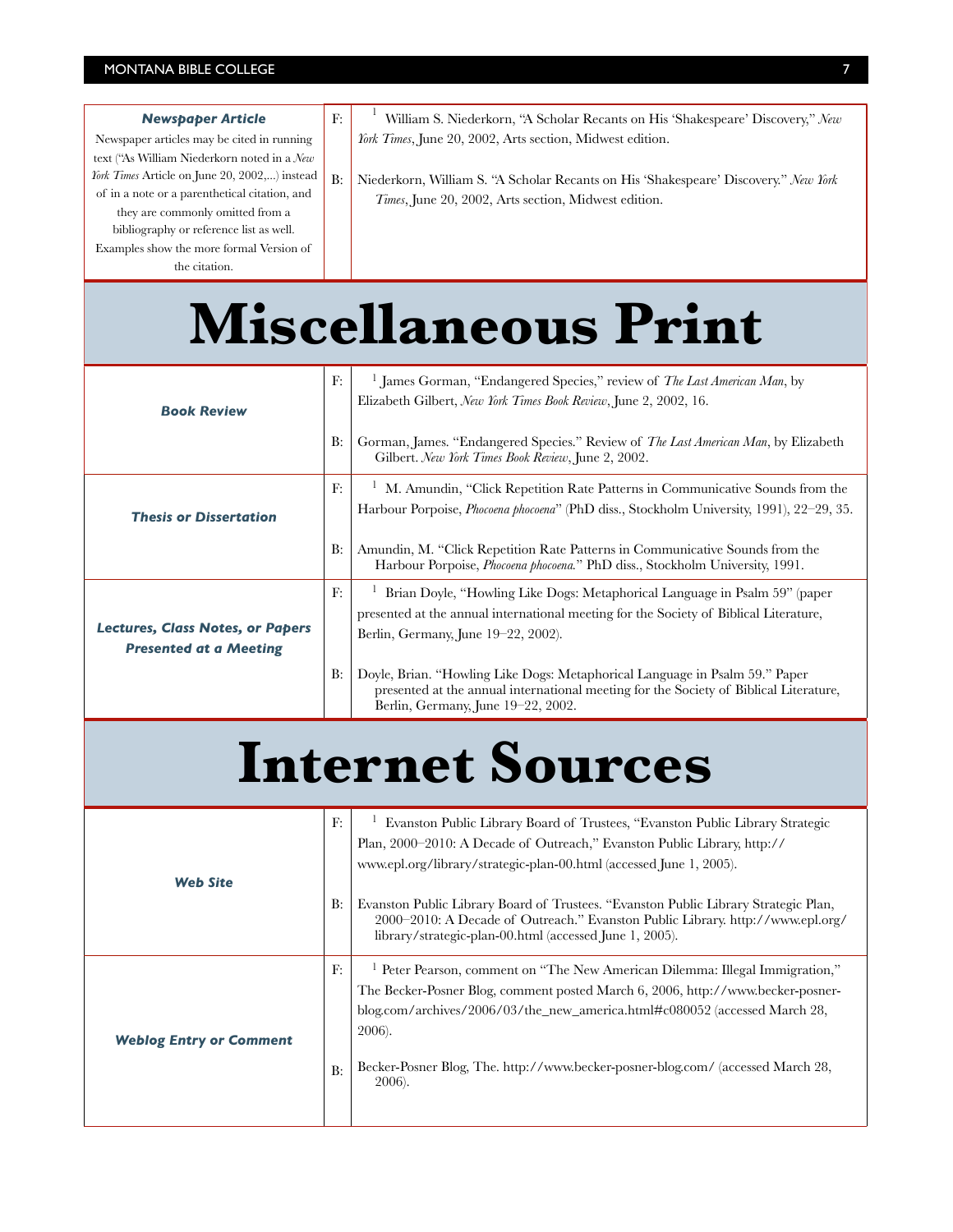| <b>Newspaper Article</b>                      | F: | William S. Niederkorn, "A Scholar Recants on His 'Shakespeare' Discovery," New      |
|-----------------------------------------------|----|-------------------------------------------------------------------------------------|
| Newspaper articles may be cited in running    |    | <i>York Times</i> , June 20, 2002, Arts section, Midwest edition.                   |
| text ("As William Niederkorn noted in a New   |    |                                                                                     |
| York Times Article on June 20, 2002,) instead | B: | Niederkorn, William S. "A Scholar Recants on His 'Shakespeare' Discovery." New York |
| of in a note or a parenthetical citation, and |    | <i>Times</i> , June 20, 2002, Arts section, Midwest edition.                        |
| they are commonly omitted from a              |    |                                                                                     |
| bibliography or reference list as well.       |    |                                                                                     |
| Examples show the more formal Version of      |    |                                                                                     |
| the citation.                                 |    |                                                                                     |

## **Miscellaneous Print**

| <b>Book Review</b>                                                       | F:<br>B: | <sup>1</sup> James Gorman, "Endangered Species," review of The Last American Man, by<br>Elizabeth Gilbert, New York Times Book Review, June 2, 2002, 16.<br>Gorman, James. "Endangered Species." Review of <i>The Last American Man</i> , by Elizabeth<br>Gilbert. New York Times Book Review, June 2, 2002.                                                                                                             |
|--------------------------------------------------------------------------|----------|--------------------------------------------------------------------------------------------------------------------------------------------------------------------------------------------------------------------------------------------------------------------------------------------------------------------------------------------------------------------------------------------------------------------------|
| <b>Thesis or Dissertation</b>                                            | F:<br>B: | M. Amundin, "Click Repetition Rate Patterns in Communicative Sounds from the<br>Harbour Porpoise, <i>Phocoena phocoena</i> " (PhD diss., Stockholm University, 1991), 22–29, 35.<br>Amundin, M. "Click Repetition Rate Patterns in Communicative Sounds from the<br>Harbour Porpoise, <i>Phocoena phocoena</i> ." PhD diss., Stockholm University, 1991.                                                                 |
| <b>Lectures, Class Notes, or Papers</b><br><b>Presented at a Meeting</b> | F:<br>B: | Brian Doyle, "Howling Like Dogs: Metaphorical Language in Psalm 59" (paper<br>presented at the annual international meeting for the Society of Biblical Literature,<br>Berlin, Germany, June 19–22, 2002).<br>Doyle, Brian. "Howling Like Dogs: Metaphorical Language in Psalm 59." Paper<br>presented at the annual international meeting for the Society of Biblical Literature,<br>Berlin, Germany, June 19–22, 2002. |

## **Internet Sources**

| <b>Web Site</b>                | F:         | Evanston Public Library Board of Trustees, "Evanston Public Library Strategic<br>Plan, 2000–2010: A Decade of Outreach," Evanston Public Library, http://<br>www.epl.org/library/strategic-plan-00.html (accessed June 1, 2005). |
|--------------------------------|------------|----------------------------------------------------------------------------------------------------------------------------------------------------------------------------------------------------------------------------------|
|                                | <b>B</b> : | Evanston Public Library Board of Trustees. "Evanston Public Library Strategic Plan,<br>2000–2010: A Decade of Outreach." Evanston Public Library. http://www.epl.org/<br>library/strategic-plan-00.html (accessed June 1, 2005). |
| <b>Weblog Entry or Comment</b> | F:         | <sup>1</sup> Peter Pearson, comment on "The New American Dilemma: Illegal Immigration,"<br>The Becker-Posner Blog, comment posted March 6, 2006, http://www.becker-posner-                                                       |
|                                |            | blog.com/archives/2006/03/the_new_america.html# $c080052$ (accessed March 28,<br>2006).<br>Becker-Posner Blog, The. http://www.becker-posner-blog.com/ (accessed March 28,                                                       |
|                                | B:         | 2006).                                                                                                                                                                                                                           |